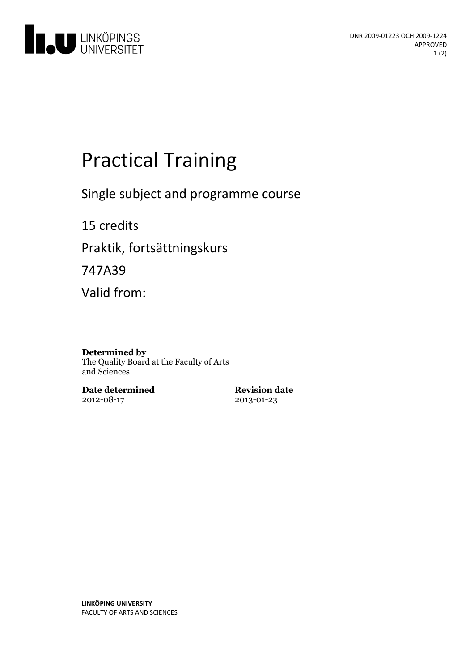

# **Practical Training**

Single subject and programme course

15 credits Praktik, fortsättningskurs 747A39 Valid from:

#### **Determined by**

The Quality Board at the Faculty of Arts and Sciences

**Date determined** 2012-08-17

**Revision date** 2013-01-23